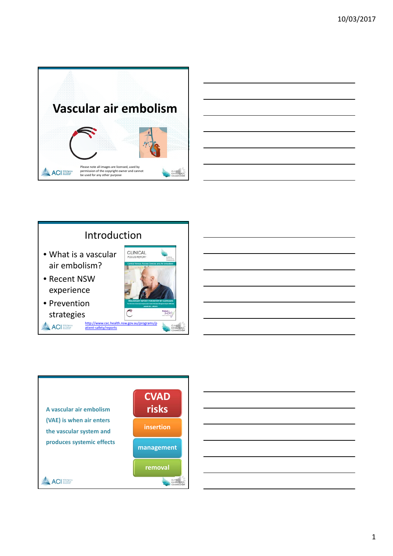

# Introduction

- What is a vascular air embolism?
- Recent NSW experience
- Prevention strategies **ACI** NSW Agency





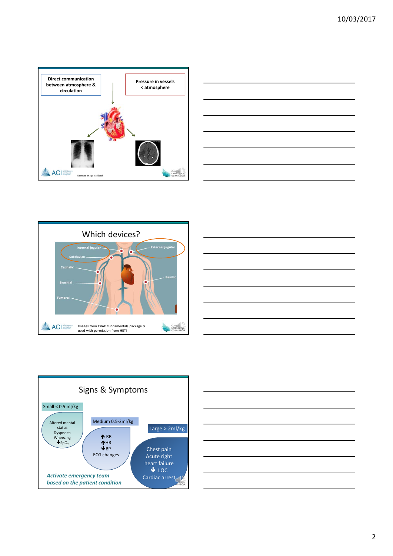









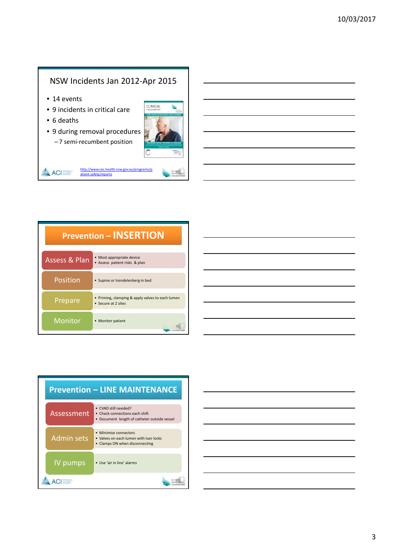# NSW Incidents Jan 2012‐Apr 2015

- 14 events
- 9 incidents in critical care
- 6 deaths
- 9 during removal procedures – 7 semi‐recumbent position



EXCELL

**ACI** Surveyor



| <b>Prevention - INSERTION</b> |                                                                       |  |
|-------------------------------|-----------------------------------------------------------------------|--|
| <b>Assess &amp; Plan</b>      | • Most appropriate device<br>• Assess patient risks & plan            |  |
| Position                      | • Supine or trendelenberg in bed                                      |  |
| Prepare                       | Priming, clamping & apply valves to each lumen<br>• Secure at 2 sites |  |
| Monitor                       | <b>Monitor patient</b>                                                |  |



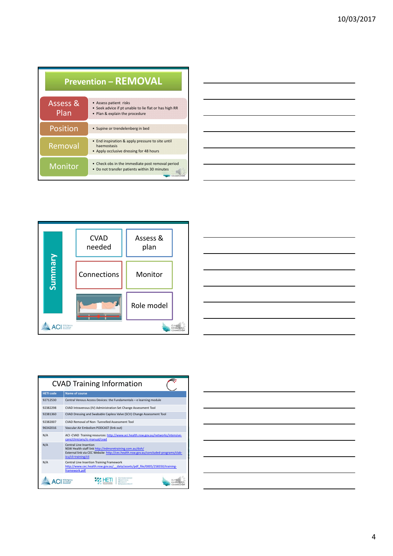| <b>Prevention - REMOVAL</b> |                                                                                                                   |  |
|-----------------------------|-------------------------------------------------------------------------------------------------------------------|--|
| Assess &<br>Plan            | • Assess patient risks<br>• Seek advice if pt unable to lie flat or has high RR<br>• Plan & explain the procedure |  |
| <b>Position</b>             | • Supine or trendelenberg in bed                                                                                  |  |
| Removal                     | • End inspiration & apply pressure to site until<br>haemostasis<br>• Apply occlusive dressing for 48 hours        |  |
| <b>Monitor</b>              | • Check obs in the immediate post removal period<br>• Do not transfer patients within 30 minutes                  |  |

| -                                                                                                                                                                                                                                    |  |  |
|--------------------------------------------------------------------------------------------------------------------------------------------------------------------------------------------------------------------------------------|--|--|
|                                                                                                                                                                                                                                      |  |  |
|                                                                                                                                                                                                                                      |  |  |
|                                                                                                                                                                                                                                      |  |  |
|                                                                                                                                                                                                                                      |  |  |
|                                                                                                                                                                                                                                      |  |  |
|                                                                                                                                                                                                                                      |  |  |
| <u> Andreas Andreas Andreas Andreas Andreas Andreas Andreas Andreas Andreas Andreas Andreas Andreas Andreas Andreas Andreas Andreas Andreas Andreas Andreas Andreas Andreas Andreas Andreas Andreas Andreas Andreas Andreas Andr</u> |  |  |
|                                                                                                                                                                                                                                      |  |  |
|                                                                                                                                                                                                                                      |  |  |
|                                                                                                                                                                                                                                      |  |  |
|                                                                                                                                                                                                                                      |  |  |
|                                                                                                                                                                                                                                      |  |  |
|                                                                                                                                                                                                                                      |  |  |
|                                                                                                                                                                                                                                      |  |  |
| <u> 1989 - Johann Barn, amerikansk politiker (</u>                                                                                                                                                                                   |  |  |
|                                                                                                                                                                                                                                      |  |  |
|                                                                                                                                                                                                                                      |  |  |
|                                                                                                                                                                                                                                      |  |  |
|                                                                                                                                                                                                                                      |  |  |
|                                                                                                                                                                                                                                      |  |  |
|                                                                                                                                                                                                                                      |  |  |
| <u> 2002 - John Stein, Amerikaansk politiker (</u>                                                                                                                                                                                   |  |  |
|                                                                                                                                                                                                                                      |  |  |
|                                                                                                                                                                                                                                      |  |  |
|                                                                                                                                                                                                                                      |  |  |
|                                                                                                                                                                                                                                      |  |  |
|                                                                                                                                                                                                                                      |  |  |
|                                                                                                                                                                                                                                      |  |  |
|                                                                                                                                                                                                                                      |  |  |
|                                                                                                                                                                                                                                      |  |  |
|                                                                                                                                                                                                                                      |  |  |
|                                                                                                                                                                                                                                      |  |  |
|                                                                                                                                                                                                                                      |  |  |
|                                                                                                                                                                                                                                      |  |  |
|                                                                                                                                                                                                                                      |  |  |
|                                                                                                                                                                                                                                      |  |  |
| the control of the control of the control of the control of the control of the control of the control of the control of the control of the control of the control of the control of the control of the control of the control        |  |  |
|                                                                                                                                                                                                                                      |  |  |
|                                                                                                                                                                                                                                      |  |  |
|                                                                                                                                                                                                                                      |  |  |
|                                                                                                                                                                                                                                      |  |  |
|                                                                                                                                                                                                                                      |  |  |
|                                                                                                                                                                                                                                      |  |  |
|                                                                                                                                                                                                                                      |  |  |
|                                                                                                                                                                                                                                      |  |  |





| <b>CVAD Training Information</b> |                                                                                                                                                                                                  |  |  |
|----------------------------------|--------------------------------------------------------------------------------------------------------------------------------------------------------------------------------------------------|--|--|
| <b>HETI</b> code                 | Name of course                                                                                                                                                                                   |  |  |
| 92712530                         | Central Venous Access Devices: the Fundamentals - e learning module                                                                                                                              |  |  |
| 92382298                         | CVAD Intravenous (IV) Administration Set Change Assessment Tool                                                                                                                                  |  |  |
| 92381360                         | CVAD Dressing and Swabable Capless Valve (SCV) Change Assessment Tool                                                                                                                            |  |  |
| 92382007                         | CVAD Removal of Non-Tunnelled Assessment Tool                                                                                                                                                    |  |  |
| 96342016                         | Vascular Air Embolism PODCAST (link out)                                                                                                                                                         |  |  |
| N/A                              | ACI -CVAD Training resources: http://www.aci.health.nsw.gov.au/networks/intensive-<br>care/clinicians/ic-manual/cvad                                                                             |  |  |
| N/A                              | Central Line Insertion<br>NSW Health staff link http://edmoretraining.com.au/doh/<br>External link via CEC Website http://cec.health.nsw.gov.au/concluded-programs/clab-<br>icu/cli-training/cli |  |  |
| N/A                              | Central Line Insertion Training Framework<br>http://www.cec.health.nsw.gov.au/ data/assets/pdf file/0005/258350/training-<br>framework.pdf                                                       |  |  |
|                                  |                                                                                                                                                                                                  |  |  |

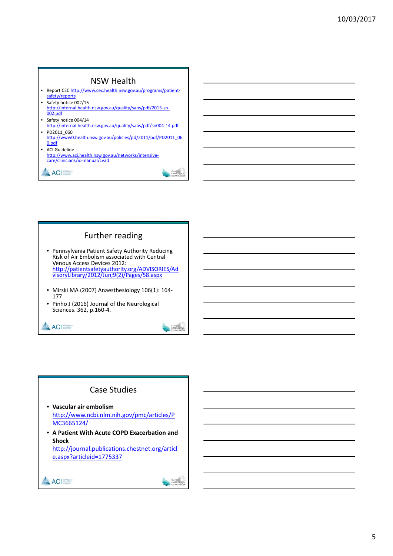### NSW Health • Report CEC http://www.cec.health.nsw.gov.au/programs/patientsafety/reports

- Safety notice 002/15 http://internal.health.nsw.gov.au/quality/sabs/pdf/2015-sn-002.pdf
- Safety notice 004/14 http://internal.health.nsw.gov.au/quality/sabs/pdf/sn004‐14.pdf • PD2011\_060
- http://www0.health.nsw.gov.au/policies/pd/2011/pdf/PD2011\_06 0.pdf
- ACI Guideline http://www.aci.health.nsw.gov.au/networks/intensivecare/clinicians/ic‐manual/cvad

ACI

# Further reading • Pennsylvania Patient Safety Authority Reducing Risk of Air Embolism associated with Central Venous Access Devices 2012: http://patientsafetyauthority.org/ADVISORIES/Ad visoryLibrary/2012/Jun;9(2)/Pages/58.aspx

- Mirski MA (2007) Anaesthesiology 106(1): <sup>164</sup>‐ <sup>177</sup>
- Pinho J (2016) Journal of the Neurological Sciences. 362, p.160-4.



# Case Studies

- **Vascular air embolism** http://www.ncbi.nlm.nih.gov/pmc/articles/P MC3665124/
- **A Patient With Acute COPD Exacerbation and Shock** http://journal.publications.chestnet.org/articl e.aspx?articleid=1775337

ACI SWARRY



CUNTEA

EXCELLE